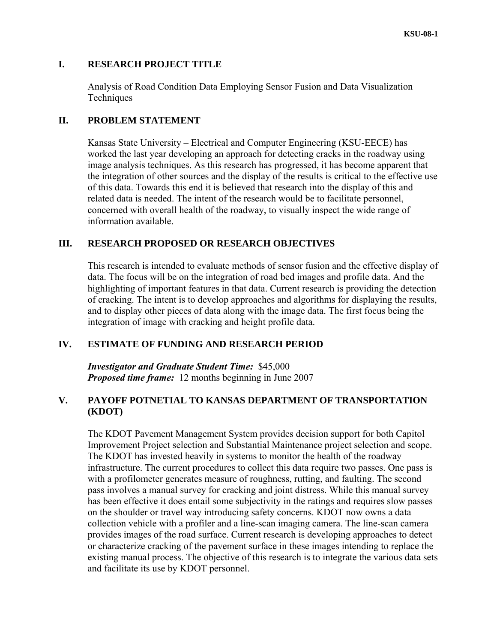#### **I. RESEARCH PROJECT TITLE**

Analysis of Road Condition Data Employing Sensor Fusion and Data Visualization **Techniques** 

## **II. PROBLEM STATEMENT**

Kansas State University – Electrical and Computer Engineering (KSU-EECE) has worked the last year developing an approach for detecting cracks in the roadway using image analysis techniques. As this research has progressed, it has become apparent that the integration of other sources and the display of the results is critical to the effective use of this data. Towards this end it is believed that research into the display of this and related data is needed. The intent of the research would be to facilitate personnel, concerned with overall health of the roadway, to visually inspect the wide range of information available.

## **III. RESEARCH PROPOSED OR RESEARCH OBJECTIVES**

This research is intended to evaluate methods of sensor fusion and the effective display of data. The focus will be on the integration of road bed images and profile data. And the highlighting of important features in that data. Current research is providing the detection of cracking. The intent is to develop approaches and algorithms for displaying the results, and to display other pieces of data along with the image data. The first focus being the integration of image with cracking and height profile data.

### **IV. ESTIMATE OF FUNDING AND RESEARCH PERIOD**

*Investigator and Graduate Student Time:* \$45,000 *Proposed time frame:* 12 months beginning in June 2007

# **V. PAYOFF POTNETIAL TO KANSAS DEPARTMENT OF TRANSPORTATION (KDOT)**

The KDOT Pavement Management System provides decision support for both Capitol Improvement Project selection and Substantial Maintenance project selection and scope. The KDOT has invested heavily in systems to monitor the health of the roadway infrastructure. The current procedures to collect this data require two passes. One pass is with a profilometer generates measure of roughness, rutting, and faulting. The second pass involves a manual survey for cracking and joint distress. While this manual survey has been effective it does entail some subjectivity in the ratings and requires slow passes on the shoulder or travel way introducing safety concerns. KDOT now owns a data collection vehicle with a profiler and a line-scan imaging camera. The line-scan camera provides images of the road surface. Current research is developing approaches to detect or characterize cracking of the pavement surface in these images intending to replace the existing manual process. The objective of this research is to integrate the various data sets and facilitate its use by KDOT personnel.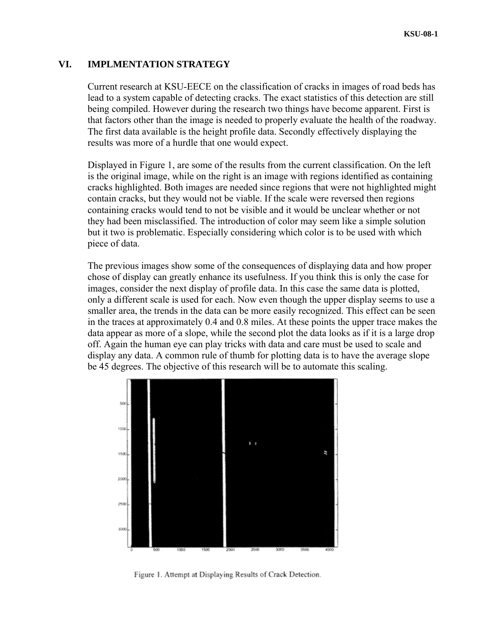### **VI. IMPLMENTATION STRATEGY**

Current research at KSU-EECE on the classification of cracks in images of road beds has lead to a system capable of detecting cracks. The exact statistics of this detection are still being compiled. However during the research two things have become apparent. First is that factors other than the image is needed to properly evaluate the health of the roadway. The first data available is the height profile data. Secondly effectively displaying the results was more of a hurdle that one would expect.

Displayed in Figure 1, are some of the results from the current classification. On the left is the original image, while on the right is an image with regions identified as containing cracks highlighted. Both images are needed since regions that were not highlighted might contain cracks, but they would not be viable. If the scale were reversed then regions containing cracks would tend to not be visible and it would be unclear whether or not they had been misclassified. The introduction of color may seem like a simple solution but it two is problematic. Especially considering which color is to be used with which piece of data.

The previous images show some of the consequences of displaying data and how proper chose of display can greatly enhance its usefulness. If you think this is only the case for images, consider the next display of profile data. In this case the same data is plotted, only a different scale is used for each. Now even though the upper display seems to use a smaller area, the trends in the data can be more easily recognized. This effect can be seen in the traces at approximately 0.4 and 0.8 miles. At these points the upper trace makes the data appear as more of a slope, while the second plot the data looks as if it is a large drop off. Again the human eye can play tricks with data and care must be used to scale and display any data. A common rule of thumb for plotting data is to have the average slope be 45 degrees. The objective of this research will be to automate this scaling.



Figure 1. Attempt at Displaying Results of Crack Detection.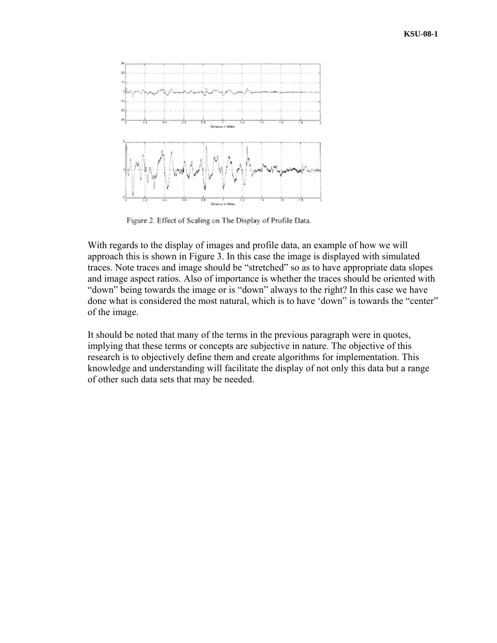

Figure 2. Effect of Scaling on The Display of Profile Data.

With regards to the display of images and profile data, an example of how we will approach this is shown in Figure 3. In this case the image is displayed with simulated traces. Note traces and image should be "stretched" so as to have appropriate data slopes and image aspect ratios. Also of importance is whether the traces should be oriented with "down" being towards the image or is "down" always to the right? In this case we have done what is considered the most natural, which is to have 'down" is towards the "center" of the image.

It should be noted that many of the terms in the previous paragraph were in quotes, implying that these terms or concepts are subjective in nature. The objective of this research is to objectively define them and create algorithms for implementation. This knowledge and understanding will facilitate the display of not only this data but a range of other such data sets that may be needed.